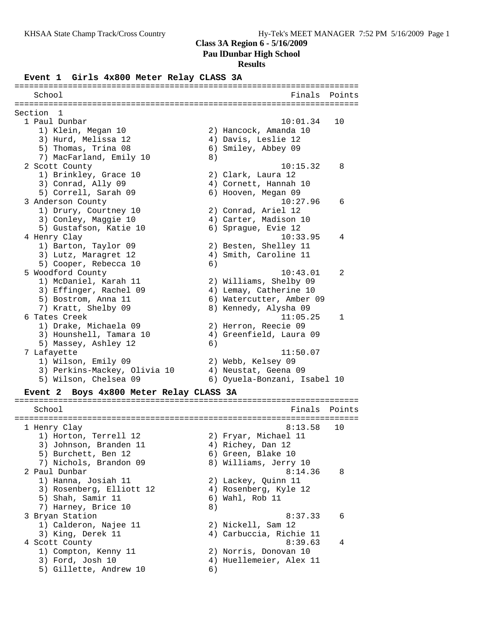#### **Class 3A Region 6 - 5/16/2009**

**Pau lDunbar High School**

#### **Results**

#### **Event 1 Girls 4x800 Meter Relay CLASS 3A**

| School                                            | Finals<br>Points             |  |
|---------------------------------------------------|------------------------------|--|
|                                                   |                              |  |
| Section 1                                         |                              |  |
| 1 Paul Dunbar                                     | 10:01.34<br>10               |  |
| 1) Klein, Megan 10                                | 2) Hancock, Amanda 10        |  |
| 3) Hurd, Melissa 12                               | 4) Davis, Leslie 12          |  |
| 5) Thomas, Trina 08                               | 6) Smiley, Abbey 09          |  |
| 7) MacFarland, Emily 10                           | 8)                           |  |
| 2 Scott County                                    | 10:15.32<br>8                |  |
| 1) Brinkley, Grace 10                             | 2) Clark, Laura 12           |  |
| 3) Conrad, Ally 09                                | 4) Cornett, Hannah 10        |  |
| 5) Correll, Sarah 09                              | 6) Hooven, Megan 09          |  |
| 3 Anderson County                                 | 10:27.96<br>6                |  |
| 1) Drury, Courtney 10                             | 2) Conrad, Ariel 12          |  |
| 3) Conley, Maggie 10                              | 4) Carter, Madison 10        |  |
| 5) Gustafson, Katie 10                            | 6) Sprague, Evie 12          |  |
| 4 Henry Clay                                      | 10:33.95<br>4                |  |
| 1) Barton, Taylor 09                              | 2) Besten, Shelley 11        |  |
| 3) Lutz, Maragret 12                              | 4) Smith, Caroline 11        |  |
| 5) Cooper, Rebecca 10                             | 6)                           |  |
| 5 Woodford County                                 | 10:43.01<br>2                |  |
| 1) McDaniel, Karah 11                             | 2) Williams, Shelby 09       |  |
| 3) Effinger, Rachel 09                            | 4) Lemay, Catherine 10       |  |
| 5) Bostrom, Anna 11                               | 6) Watercutter, Amber 09     |  |
| 7) Kratt, Shelby 09                               | 8) Kennedy, Alysha 09        |  |
| 6 Tates Creek                                     | 11:05.25<br>$\mathbf{1}$     |  |
| 1) Drake, Michaela 09                             | 2) Herron, Reecie 09         |  |
| 3) Hounshell, Tamara 10                           | 4) Greenfield, Laura 09      |  |
| 5) Massey, Ashley 12                              | 6)                           |  |
| 7 Lafayette                                       | 11:50.07                     |  |
| 1) Wilson, Emily 09                               | 2) Webb, Kelsey 09           |  |
| 3) Perkins-Mackey, Olivia 10                      | 4) Neustat, Geena 09         |  |
| 5) Wilson, Chelsea 09                             | 6) Oyuela-Bonzani, Isabel 10 |  |
| Boys 4x800 Meter Relay CLASS 3A<br><b>Event 2</b> |                              |  |

======================================================================= School **Finals** Points ======================================================================= 1 Henry Clay 8:13.58 10 1) Horton, Terrell 12 2) Fryar, Michael 11 3) Johnson, Branden 11 (4) Richey, Dan 12 5) Burchett, Ben 12 (6) Green, Blake 10 7) Nichols, Brandon 09 8) Williams, Jerry 10 2 Paul Dunbar 8:14.36 8 1) Hanna, Josiah 11 2) Lackey, Quinn 11 3) Rosenberg, Elliott 12 4) Rosenberg, Kyle 12 5) Shah, Samir 11 6) Wahl, Rob 11 5) Shah, Samir 11 (6)<br>
7) Harney, Brice 10 (8)<br>
3 Bryan Station 3 Bryan Station 6:37.33 6 1) Calderon, Najee 11 2) Nickell, Sam 12 3) King, Derek 11 4) Carbuccia, Richie 11 4 Scott County 6:39.63 4 1) Compton, Kenny 11 2) Norris, Donovan 10 3) Ford, Josh 10 4) Huellemeier, Alex 11 5) Gillette, Andrew 10 6)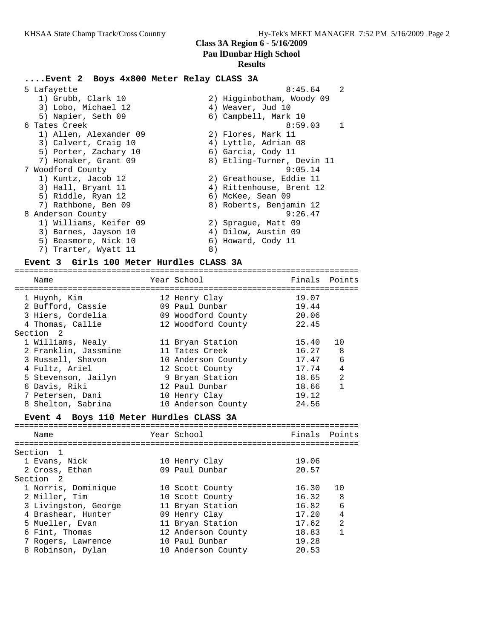### **....Event 2 Boys 4x800 Meter Relay CLASS 3A**

| 5 Lafayette            |    | $\mathfrak{D}$<br>8:45.64  |
|------------------------|----|----------------------------|
| 1) Grubb, Clark 10     |    | 2) Higginbotham, Woody 09  |
| 3) Lobo, Michael 12    |    | 4) Weaver, Jud 10          |
| 5) Napier, Seth 09     |    | 6) Campbell, Mark 10       |
| 6 Tates Creek          |    | 8:59.03<br>$\mathbf{1}$    |
| 1) Allen, Alexander 09 |    | 2) Flores, Mark 11         |
| 3) Calvert, Craig 10   |    | 4) Lyttle, Adrian 08       |
| 5) Porter, Zachary 10  |    | 6) Garcia, Cody 11         |
| 7) Honaker, Grant 09   |    | 8) Etling-Turner, Devin 11 |
| 7 Woodford County      |    | 9:05.14                    |
| 1) Kuntz, Jacob 12     |    | 2) Greathouse, Eddie 11    |
| 3) Hall, Bryant 11     |    | 4) Rittenhouse, Brent 12   |
| 5) Riddle, Ryan 12     |    | 6) McKee, Sean 09          |
| 7) Rathbone, Ben 09    |    | 8) Roberts, Benjamin 12    |
| 8 Anderson County      |    | 9:26.47                    |
| 1) Williams, Keifer 09 |    | 2) Spraque, Matt 09        |
| 3) Barnes, Jayson 10   |    | 4) Dilow, Austin 09        |
| 5) Beasmore, Nick 10   |    | 6) Howard, Cody 11         |
| 7) Trarter, Wyatt 11   | 8) |                            |

### **Event 3 Girls 100 Meter Hurdles CLASS 3A**

| Name                                                                       | Year School                                                                 | Finals Points                    |                |
|----------------------------------------------------------------------------|-----------------------------------------------------------------------------|----------------------------------|----------------|
| 1 Huynh, Kim<br>2 Bufford, Cassie<br>3 Hiers, Cordelia<br>4 Thomas, Callie | 12 Henry Clay<br>09 Paul Dunbar<br>09 Woodford County<br>12 Woodford County | 19.07<br>19.44<br>20.06<br>22.45 |                |
| Section 2                                                                  |                                                                             |                                  |                |
| 1 Williams, Nealy                                                          | 11 Bryan Station                                                            | 15.40                            | 10             |
| 2 Franklin, Jassmine                                                       | 11 Tates Creek                                                              | 16.27                            | 8              |
| 3 Russell, Shavon                                                          | 10 Anderson County                                                          | 17.47                            | 6              |
| 4 Fultz, Ariel                                                             | 12 Scott County                                                             | 17.74                            | 4              |
| 5 Stevenson, Jailyn                                                        | 9 Bryan Station                                                             | 18.65                            | $\mathfrak{D}$ |
| 6 Davis, Riki                                                              | 12 Paul Dunbar                                                              | 18.66                            | 1              |
| 7 Petersen, Dani                                                           | 10 Henry Clay                                                               | 19.12                            |                |
| 8 Shelton, Sabrina                                                         | 10 Anderson County                                                          | 24.56                            |                |
|                                                                            |                                                                             |                                  |                |

#### **Event 4 Boys 110 Meter Hurdles CLASS 3A** =======================================================================

| Name                 | Year School        | Finals Points |                |
|----------------------|--------------------|---------------|----------------|
| Section 1            |                    |               |                |
| 1 Evans, Nick        | 10 Henry Clay      | 19.06         |                |
| 2 Cross, Ethan       | 09 Paul Dunbar     | 20.57         |                |
| Section 2            |                    |               |                |
| 1 Norris, Dominique  | 10 Scott County    | 16.30         | 10             |
| 2 Miller, Tim        | 10 Scott County    | 16.32         | - 8            |
| 3 Livingston, George | 11 Bryan Station   | 16.82         | 6              |
| 4 Brashear, Hunter   | 09 Henry Clay      | 17.20         | $\overline{4}$ |
| 5 Mueller, Evan      | 11 Bryan Station   | 17.62         | 2              |
| 6 Fint, Thomas       | 12 Anderson County | 18.83         | 1              |
| 7 Rogers, Lawrence   | 10 Paul Dunbar     | 19.28         |                |
| 8 Robinson, Dylan    | 10 Anderson County | 20.53         |                |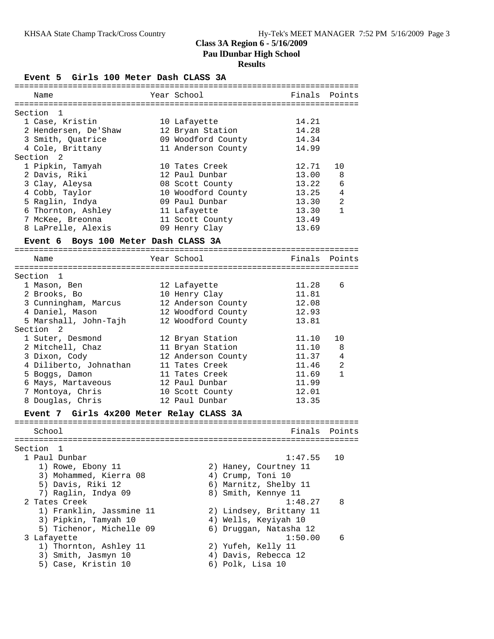# **Results**

| Event 5 Girls 100 Meter Dash CLASS 3A    |                    |                   |                         |                |
|------------------------------------------|--------------------|-------------------|-------------------------|----------------|
| Name                                     | Year School        |                   |                         | Finals Points  |
| Section 1                                |                    |                   |                         |                |
| 1 Case, Kristin                          | 10 Lafayette       |                   | 14.21                   |                |
| 2 Hendersen, De'Shaw                     | 12 Bryan Station   |                   | 14.28                   |                |
| 3 Smith, Quatrice                        | 09 Woodford County |                   | 14.34                   |                |
| 4 Cole, Brittany                         | 11 Anderson County |                   | 14.99                   |                |
| Section 2                                |                    |                   |                         |                |
| 1 Pipkin, Tamyah                         | 10 Tates Creek     |                   | 12.71                   | 10             |
| 2 Davis, Riki                            | 12 Paul Dunbar     |                   | 13.00                   | 8              |
| 3 Clay, Aleysa                           | 08 Scott County    |                   | 13.22                   | 6              |
| 4 Cobb, Taylor                           | 10 Woodford County |                   | 13.25                   | 4              |
| 5 Raglin, Indya                          | 09 Paul Dunbar     |                   | 13.30                   | 2              |
| 6 Thornton, Ashley                       | 11 Lafayette       |                   | 13.30                   | $\mathbf{1}$   |
| 7 McKee, Breonna                         | 11 Scott County    |                   | 13.49                   |                |
| 8 LaPrelle, Alexis                       | 09 Henry Clay      |                   | 13.69                   |                |
|                                          |                    |                   |                         |                |
| Event 6 Boys 100 Meter Dash CLASS 3A     |                    |                   |                         |                |
| Name                                     | Year School        |                   |                         | Finals Points  |
|                                          |                    |                   |                         |                |
| Section 1                                |                    |                   |                         |                |
| 1 Mason, Ben                             | 12 Lafayette       |                   | 11.28                   | 6              |
| 2 Brooks, Bo                             | 10 Henry Clay      |                   | 11.81                   |                |
| 3 Cunningham, Marcus                     | 12 Anderson County |                   | 12.08                   |                |
| 4 Daniel, Mason                          | 12 Woodford County |                   | 12.93                   |                |
| 5 Marshall, John-Tajh                    | 12 Woodford County |                   | 13.81                   |                |
| Section 2                                |                    |                   |                         |                |
| 1 Suter, Desmond                         | 12 Bryan Station   |                   | 11.10                   | 10             |
| 2 Mitchell, Chaz                         | 11 Bryan Station   |                   | 11.10                   | 8              |
| 3 Dixon, Cody                            | 12 Anderson County |                   | 11.37                   | 4              |
| 4 Diliberto, Johnathan                   | 11 Tates Creek     |                   | 11.46                   | $\overline{a}$ |
| 5 Boggs, Damon                           | 11 Tates Creek     |                   | 11.69                   | $\mathbf{1}$   |
| 6 Mays, Martaveous                       | 12 Paul Dunbar     |                   | 11.99                   |                |
| 7 Montoya, Chris                         | 10 Scott County    |                   | 12.01                   |                |
| 8 Douglas, Chris                         | 12 Paul Dunbar     |                   | 13.35                   |                |
| Event 7 Girls 4x200 Meter Relay CLASS 3A |                    |                   |                         |                |
| School                                   |                    |                   |                         | Finals Points  |
|                                          |                    |                   |                         |                |
| Section<br>- 1                           |                    |                   |                         |                |
| 1 Paul Dunbar                            |                    |                   | 1:47.55                 | 10             |
| 1) Rowe, Ebony 11                        |                    |                   | 2) Haney, Courtney 11   |                |
| 3) Mohammed, Kierra 08                   |                    | 4) Crump, Toni 10 |                         |                |
| 5) Davis, Riki 12                        |                    |                   | 6) Marnitz, Shelby 11   |                |
| 7) Raglin, Indya 09                      |                    |                   | 8) Smith, Kennye 11     |                |
| 2 Tates Creek                            |                    |                   | 1:48.27                 | 8              |
| 1) Franklin, Jassmine 11                 |                    |                   | 2) Lindsey, Brittany 11 |                |
| 3) Pipkin, Tamyah 10                     |                    |                   | 4) Wells, Keyiyah 10    |                |
| 5) Tichenor, Michelle 09                 |                    |                   | 6) Druggan, Natasha 12  |                |
| 3 Lafayette                              |                    |                   | 1:50.00                 | 6              |
| 1) Thornton, Ashley 11                   |                    |                   | 2) Yufeh, Kelly 11      |                |
| 3) Smith, Jasmyn 10                      |                    |                   | 4) Davis, Rebecca 12    |                |
| 5) Case, Kristin 10                      |                    | 6) Polk, Lisa 10  |                         |                |
|                                          |                    |                   |                         |                |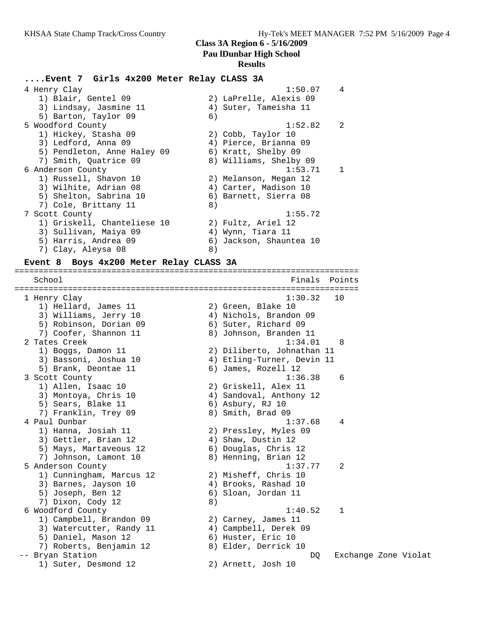### **Results**

#### **....Event 7 Girls 4x200 Meter Relay CLASS 3A**

| 4 Henry Clay                | $\overline{4}$<br>1:50.07 |  |
|-----------------------------|---------------------------|--|
| 1) Blair, Gentel 09         | 2) LaPrelle, Alexis 09    |  |
| 3) Lindsay, Jasmine 11      | 4) Suter, Tameisha 11     |  |
| 5) Barton, Taylor 09        | 6)                        |  |
| 5 Woodford County           | 1:52.82<br>$\overline{2}$ |  |
| 1) Hickey, Stasha 09        | 2) Cobb, Taylor 10        |  |
| 3) Ledford, Anna 09         | 4) Pierce, Brianna 09     |  |
| 5) Pendleton, Anne Haley 09 | 6) Kratt, Shelby 09       |  |
| 7) Smith, Ouatrice 09       | 8) Williams, Shelby 09    |  |
| 6 Anderson County           | 1:53.71                   |  |
| 1) Russell, Shavon 10       | 2) Melanson, Megan 12     |  |
| 3) Wilhite, Adrian 08       | 4) Carter, Madison 10     |  |
| 5) Shelton, Sabrina 10      | 6) Barnett, Sierra 08     |  |
| 7) Cole, Brittany 11        | 8)                        |  |
| 7 Scott County              | 1:55.72                   |  |
| 1) Griskell, Chanteliese 10 | 2) Fultz, Ariel 12        |  |
| 3) Sullivan, Maiya 09       | 4) Wynn, Tiara 11         |  |
| 5) Harris, Andrea 09        | 6) Jackson, Shauntea 10   |  |
| 7) Clay, Aleysa 08          | 8)                        |  |

=======================================================================

#### **Event 8 Boys 4x200 Meter Relay CLASS 3A**

School Finals Points ======================================================================= 1 Henry Clay 1:30.32 10 1) Hellard, James 11 2) Green, Blake 10 3) Williams, Jerry 10 4) Nichols, Brandon 09 5) Robinson, Dorian 09 6) Suter, Richard 09 7) Coofer, Shannon 11 8) Johnson, Branden 11 2 Tates Creek 1:34.01 8 1) Boggs, Damon 11 2) Diliberto, Johnathan 11 3) Bassoni, Joshua 10 4) Etling-Turner, Devin 11 5) Brank, Deontae 11 (6) James, Rozell 12 3 Scott County 1:36.38 6 1) Allen, Isaac 10 2) Griskell, Alex 11 3) Montoya, Chris 10 4) Sandoval, Anthony 12 5) Sears, Blake 11 6) Asbury, RJ 10 7) Franklin, Trey 09 8) Smith, Brad 09 4 Paul Dunbar 1:37.68 4 1) Hanna, Josiah 11 2) Pressley, Myles 09 3) Gettler, Brian 12 (4) Shaw, Dustin 12 5) Mays, Martaveous 12 6) Douglas, Chris 12 7) Johnson, Lamont 10  $\hskip 1.5cm 8)$  Henning, Brian 12 5 Anderson County 1:37.77 2 1) Cunningham, Marcus 12 2) Misheff, Chris 10 3) Barnes, Jayson 10 4) Brooks, Rashad 10 5) Joseph, Ben 12 6) Sloan, Jordan 11 7) Dixon, Cody 12 8) 6 Woodford County 1:40.52 1 1) Campbell, Brandon 09 2) Carney, James 11 3) Watercutter, Randy 11 4) Campbell, Derek 09 5) Daniel, Mason 12 6) Huster, Eric 10 7) Roberts, Benjamin 12 8) Elder, Derrick 10 -- Bryan Station DQ Exchange Zone Violat 1) Suter, Desmond 12 2) Arnett, Josh 10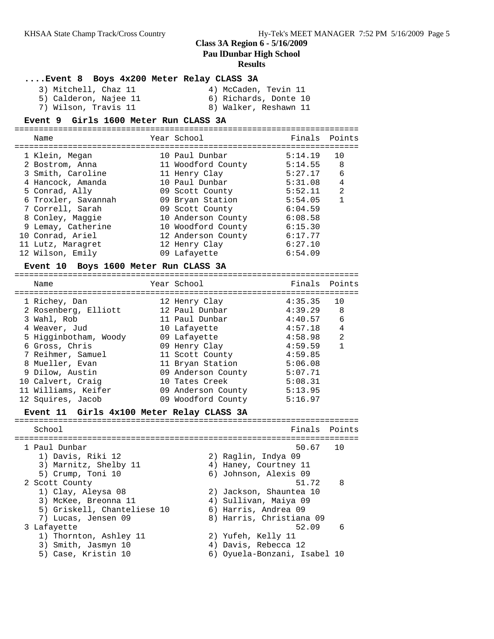### **Results**

### **....Event 8 Boys 4x200 Meter Relay CLASS 3A**

| 3) Mitchell, Chaz 11  | 4) McCaden, Tevin 11  |
|-----------------------|-----------------------|
| 5) Calderon, Najee 11 | 6) Richards, Donte 10 |
| 7) Wilson, Travis 11  | 8) Walker, Reshawn 11 |

#### **Event 9 Girls 1600 Meter Run CLASS 3A**

| Name                                                                                                                                                                                                                        | Year School                                                                                                                                                                                                          | Finals Points                                                                                                         |                                                                  |
|-----------------------------------------------------------------------------------------------------------------------------------------------------------------------------------------------------------------------------|----------------------------------------------------------------------------------------------------------------------------------------------------------------------------------------------------------------------|-----------------------------------------------------------------------------------------------------------------------|------------------------------------------------------------------|
| 1 Klein, Megan<br>2 Bostrom, Anna<br>3 Smith, Caroline<br>4 Hancock, Amanda<br>5 Conrad, Ally<br>6 Troxler, Savannah<br>7 Correll, Sarah<br>8 Conley, Maggie<br>9 Lemay, Catherine<br>10 Conrad, Ariel<br>11 Lutz, Maragret | 10 Paul Dunbar<br>11 Woodford County<br>11 Henry Clay<br>10 Paul Dunbar<br>09 Scott County<br>09 Bryan Station<br>09 Scott County<br>10 Anderson County<br>10 Woodford County<br>12 Anderson County<br>12 Henry Clay | 5:14.19<br>5:14.55<br>5:27.17<br>5:31.08<br>5:52.11<br>5:54.05<br>6:04.59<br>6:08.58<br>6:15.30<br>6:17.77<br>6:27.10 | 10<br>8<br>6<br>$\overline{4}$<br>$\mathfrak{D}$<br>$\mathbf{1}$ |
| 12 Wilson, Emily                                                                                                                                                                                                            | 09 Lafayette                                                                                                                                                                                                         | 6:54.09                                                                                                               |                                                                  |

# **Event 10 Boys 1600 Meter Run CLASS 3A**

| Name                  | Year School        | Finals Points |                |
|-----------------------|--------------------|---------------|----------------|
| 1 Richey, Dan         | 12 Henry Clay      | 4:35.35       | 10             |
| 2 Rosenberg, Elliott  | 12 Paul Dunbar     | 4:39.29       | - 8            |
| 3 Wahl, Rob           | 11 Paul Dunbar     | 4:40.57       | 6              |
| 4 Weaver, Jud         | 10 Lafayette       | 4:57.18       | $\overline{4}$ |
| 5 Higginbotham, Woody | 09 Lafayette       | 4:58.98       | $\mathfrak{D}$ |
| 6 Gross, Chris        | 09 Henry Clay      | 4:59.59       | 1              |
| 7 Reihmer, Samuel     | 11 Scott County    | 4:59.85       |                |
| 8 Mueller, Evan       | 11 Bryan Station   | 5:06.08       |                |
| 9 Dilow, Austin       | 09 Anderson County | 5:07.71       |                |
| 10 Calvert, Craig     | 10 Tates Creek     | 5:08.31       |                |
| 11 Williams, Keifer   | 09 Anderson County | 5:13.95       |                |
| 12 Squires, Jacob     | 09 Woodford County | 5:16.97       |                |
|                       |                    |               |                |

# **Event 11 Girls 4x100 Meter Relay CLASS 3A**

| School                             | Finals Points                   |     |
|------------------------------------|---------------------------------|-----|
| 1 Paul Dunbar<br>1) Davis, Riki 12 | 50.67 10<br>2) Raglin, Indya 09 |     |
| 3) Marnitz, Shelby 11              | 4) Haney, Courtney 11           |     |
| 5) Crump, Toni 10                  | 6) Johnson, Alexis 09           |     |
| 2 Scott County                     | 51.72                           | 8   |
| 1) Clay, Aleysa 08                 | 2) Jackson, Shauntea 10         |     |
| 3) McKee, Breonna 11               | 4) Sullivan, Maiya 09           |     |
| 5) Griskell, Chanteliese 10        | 6) Harris, Andrea 09            |     |
| 7) Lucas, Jensen 09                | 8) Harris, Christiana 09        |     |
| 3 Lafayette                        | 52.09                           | - 6 |
| 1) Thornton, Ashley 11             | 2) Yufeh, Kelly 11              |     |
| 3) Smith, Jasmyn 10                | 4) Davis, Rebecca 12            |     |
| 5) Case, Kristin 10                | 6) Oyuela-Bonzani, Isabel 10    |     |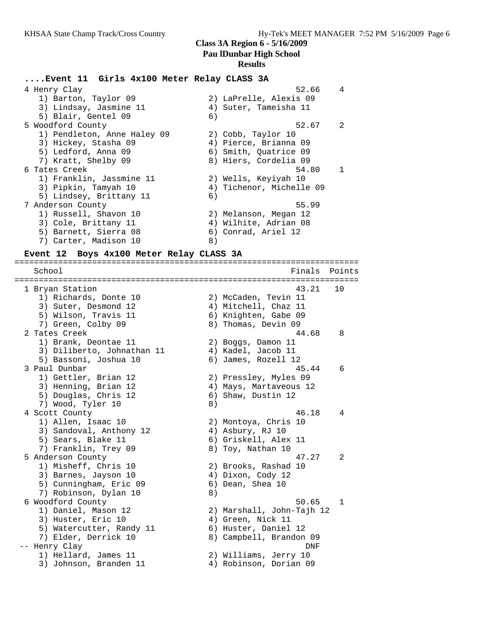#### **....Event 11 Girls 4x100 Meter Relay CLASS 3A**

4 Henry Clay 62.66 4 1) Barton, Taylor 09 2) LaPrelle, Alexis 09 3) Lindsay, Jasmine 11 4) Suter, Tameisha 11 5) Blair, Gentel 09 (6) 5 Woodford County 52.67 2 1) Pendleton, Anne Haley 09 2) Cobb, Taylor 10 3) Hickey, Stasha 09 4) Pierce, Brianna 09 5) Ledford, Anna 09 6) Smith, Quatrice 09 7) Kratt, Shelby 09 8) Hiers, Cordelia 09 6 Tates Creek 54.80 1 1) Franklin, Jassmine 11 2) Wells, Keyiyah 10 3) Pipkin, Tamyah 10 4) Tichenor, Michelle 09 5) Lindsey, Brittany 11 (6) 7 Anderson County 55.99 1) Russell, Shavon 10 2) Melanson, Megan 12 3) Cole, Brittany 11  $\qquad \qquad \qquad$  4) Wilhite, Adrian 08 5) Barnett, Sierra 08 (6) Conrad, Ariel 12 7) Carter, Madison 10 8)

#### **Event 12 Boys 4x100 Meter Relay CLASS 3A**

======================================================================= School **Finals Points** ======================================================================= 1 Bryan Station 43.21 10 1) Richards, Donte 10 2) McCaden, Tevin 11 3) Suter, Desmond 12 (4) Mitchell, Chaz 11 5) Wilson, Travis 11 (6) Knighten, Gabe 09 7) Green, Colby 09 8) Thomas, Devin 09 2 Tates Creek 44.68 8 1) Brank, Deontae 11 and 2) Boggs, Damon 11 3) Diliberto, Johnathan 11 (4) Kadel, Jacob 11 5) Bassoni, Joshua 10  $\qquad \qquad$  6) James, Rozell 12 3 Paul Dunbar 45.44 6 1) Gettler, Brian 12 2) Pressley, Myles 09 3) Henning, Brian 12 4) Mays, Martaveous 12 5) Douglas, Chris 12 (6) Shaw, Dustin 12 7) Wood, Tyler 10 8) 4 Scott County 46.18 4 1) Allen, Isaac 10 2) Montoya, Chris 10 3) Sandoval, Anthony 12 (4) Asbury, RJ 10 5) Sears, Blake 11 (6) Griskell, Alex 11 7) Franklin, Trey 09 8) Toy, Nathan 10 5 Anderson County 47.27 2 1) Misheff, Chris 10 2) Brooks, Rashad 10 3) Barnes, Jayson 10 (4) Dixon, Cody 12 5) Cunningham, Eric 09 (6) Dean, Shea 10 7) Robinson, Dylan 10 8) 6 Woodford County 50.65 1 1) Daniel, Mason 12 2) Marshall, John-Tajh 12 3) Huster, Eric 10 (4) Green, Nick 11 5) Watercutter, Randy 11 (6) Huster, Daniel 12 7) Elder, Derrick 10 8) Campbell, Brandon 09 -- Henry Clay DNF 1) Hellard, James 11 2) Williams, Jerry 10 3) Johnson, Branden 11 4) Robinson, Dorian 09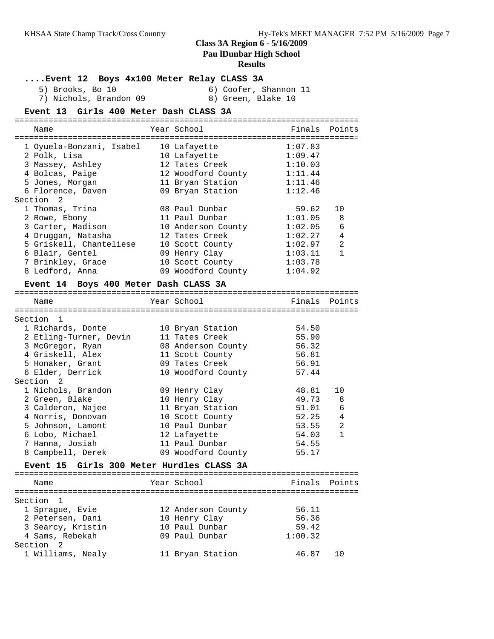# **Class 3A Region 6 - 5/16/2009**

**Pau lDunbar High School**

### **Results**

**....Event 12 Boys 4x100 Meter Relay CLASS 3A**

5) Brooks, Bo 10 6) Coofer, Shannon 11 7) Nichols, Brandon 09 8) Green, Blake 10

| Event 13 Girls 400 Meter Dash CLASS 3A                                                                                  |                                                                                                              |                                                                |
|-------------------------------------------------------------------------------------------------------------------------|--------------------------------------------------------------------------------------------------------------|----------------------------------------------------------------|
| Name                                                                                                                    | Year School                                                                                                  | Finals Points                                                  |
| 1 Oyuela-Bonzani, Isabel<br>2 Polk, Lisa<br>3 Massey, Ashley<br>4 Bolcas, Paige<br>5 Jones, Morgan<br>6 Florence, Daven | 10 Lafayette<br>10 Lafayette<br>12 Tates Creek<br>12 Woodford County<br>11 Bryan Station<br>09 Bryan Station | 1:07.83<br>1:09.47<br>1:10.03<br>1:11.44<br>1:11.46<br>1:12.46 |
| Section 2<br>1 Thomas, Trina<br>2 Rowe, Ebony<br>$2$ Cortor Modicon                                                     | 08 Paul Dunbar<br>11 Paul Dunbar<br>$10 \text{ Nndoxcon}$                                                    | 59.62<br>10<br>1:01.05<br>8<br>$1.02 \times 2$<br>$\epsilon$   |

| 1 1110 map, 11111a      | vo raur Dunbur     | <u>. ہے ت</u> | ∸∽            |
|-------------------------|--------------------|---------------|---------------|
| 2 Rowe, Ebony           | 11 Paul Dunbar     | 1:01.05       | - 8           |
| 3 Carter, Madison       | 10 Anderson County | 1:02.05       | 6             |
| 4 Druggan, Natasha      | 12 Tates Creek     | 1:02.27       | 4             |
| 5 Griskell, Chanteliese | 10 Scott County    | 1:02.97       | $\mathcal{L}$ |
| 6 Blair, Gentel         | 09 Henry Clay      | 1:03.11       | $\mathbf{1}$  |
| 7 Brinkley, Grace       | 10 Scott County    | 1:03.78       |               |
| 8 Ledford, Anna         | 09 Woodford County | 1:04.92       |               |
|                         |                    |               |               |

#### **Event 14 Boys 400 Meter Dash CLASS 3A**

Section 2

======================================================================= Year School **Finals** Points ======================================================================= Section 1 1 Richards, Donte 10 Bryan Station 54.50 2 Etling-Turner, Devin 11 Tates Creek 55.90 3 McGregor, Ryan 08 Anderson County 56.32 4 Griskell, Alex 11 Scott County 56.81 5 Honaker, Grant 09 Tates Creek 56.91 6 Elder, Derrick 10 Woodford County 57.44 Section 2 1 Nichols, Brandon 09 Henry Clay 48.81 10 2 Green, Blake 10 Henry Clay 49.73 8 3 Calderon, Najee 11 Bryan Station 51.01 6 4 Norris, Donovan 10 Scott County 52.25 4 5 Johnson, Lamont 10 Paul Dunbar 53.55 2 6 Lobo, Michael 12 Lafayette 54.03 1 7 Hanna, Josiah 11 Paul Dunbar 54.55 8 Campbell, Derek 09 Woodford County 55.17 **Event 15 Girls 300 Meter Hurdles CLASS 3A** ======================================================================= Name Tear School Tear School Finals Points ======================================================================= Section 1 1 Sprague, Evie 12 Anderson County 56.11 2 Petersen, Dani 10 Henry Clay 56.36 3 Searcy, Kristin 10 Paul Dunbar 59.42 4 Sams, Rebekah 09 Paul Dunbar 1:00.32

1 Williams, Nealy 11 Bryan Station 46.87 10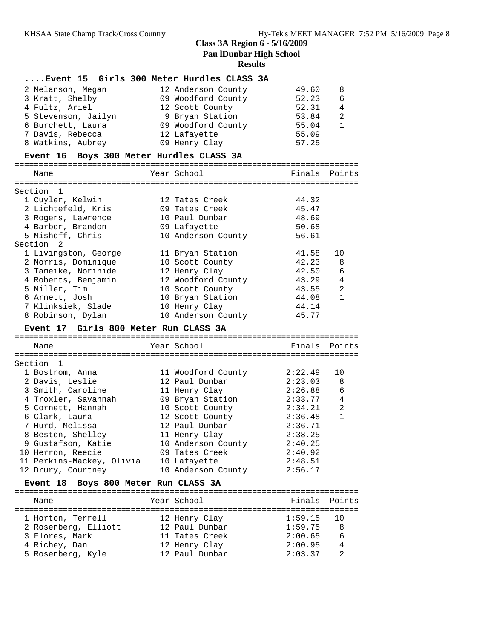### **....Event 15 Girls 300 Meter Hurdles CLASS 3A**

| 2 Melanson, Megan   | 12 Anderson County | 49.60 | 8 |
|---------------------|--------------------|-------|---|
| 3 Kratt, Shelby     | 09 Woodford County | 52.23 | 6 |
| 4 Fultz, Ariel      | 12 Scott County    | 52.31 | 4 |
| 5 Stevenson, Jailyn | 9 Bryan Station    | 53.84 | 2 |
| 6 Burchett, Laura   | 09 Woodford County | 55.04 |   |
| 7 Davis, Rebecca    | 12 Lafayette       | 55.09 |   |
| 8 Watkins, Aubrey   | 09 Henry Clay      | 57.25 |   |

### **Event 16 Boys 300 Meter Hurdles CLASS 3A**

| Name                 | Year School        | Finals | Points |
|----------------------|--------------------|--------|--------|
|                      |                    |        |        |
| Section 1            |                    |        |        |
| 1 Cuyler, Kelwin     | 12 Tates Creek     | 44.32  |        |
| 2 Lichtefeld, Kris   | 09 Tates Creek     | 45.47  |        |
| 3 Rogers, Lawrence   | 10 Paul Dunbar     | 48.69  |        |
| 4 Barber, Brandon    | 09 Lafayette       | 50.68  |        |
| 5 Misheff, Chris     | 10 Anderson County | 56.61  |        |
| Section 2            |                    |        |        |
| 1 Livingston, George | 11 Bryan Station   | 41.58  | 10     |
| 2 Norris, Dominique  | 10 Scott County    | 42.23  | 8      |
| 3 Tameike, Norihide  | 12 Henry Clay      | 42.50  | 6      |
| 4 Roberts, Benjamin  | 12 Woodford County | 43.29  | 4      |
| 5 Miller, Tim        | 10 Scott County    | 43.55  | 2      |
| 6 Arnett, Josh       | 10 Bryan Station   | 44.08  | 1      |
| 7 Klinksiek, Slade   | 10 Henry Clay      | 44.14  |        |
| 8 Robinson, Dylan    | 10 Anderson County | 45.77  |        |

#### **Event 17 Girls 800 Meter Run CLASS 3A** =======================================================================

| Name                      | Year School        | Finals Points |                |
|---------------------------|--------------------|---------------|----------------|
|                           |                    |               |                |
| Section <sub>1</sub>      |                    |               |                |
| 1 Bostrom, Anna           | 11 Woodford County | 2:22.49       | 10             |
| 2 Davis, Leslie           | 12 Paul Dunbar     | $2:23.03$ 8   |                |
| 3 Smith, Caroline         | 11 Henry Clay      | 2:26.88       | 6              |
| 4 Troxler, Savannah       | 09 Bryan Station   | 2:33.77       | 4              |
| 5 Cornett, Hannah         | 10 Scott County    | 2:34.21       | $\mathfrak{D}$ |
| 6 Clark, Laura            | 12 Scott County    | 2:36.48       | $\mathbf{1}$   |
| 7 Hurd, Melissa           | 12 Paul Dunbar     | 2:36.71       |                |
| 8 Besten, Shelley         | 11 Henry Clay      | 2:38.25       |                |
| 9 Gustafson, Katie        | 10 Anderson County | 2:40.25       |                |
| 10 Herron, Reecie         | 09 Tates Creek     | 2:40.92       |                |
| 11 Perkins-Mackey, Olivia | 10 Lafayette       | 2:48.51       |                |
| 12 Drury, Courtney        | 10 Anderson County | 2:56.17       |                |

### **Event 18 Boys 800 Meter Run CLASS 3A**

| Name                 | Year School    | Finals Points |               |
|----------------------|----------------|---------------|---------------|
| 1 Horton, Terrell    | 12 Henry Clay  | $1:59.15$ 10  |               |
| 2 Rosenberg, Elliott | 12 Paul Dunbar | 1:59.75       | - 8           |
| 3 Flores, Mark       | 11 Tates Creek | 2:00.65       | 6             |
| 4 Richey, Dan        | 12 Henry Clay  | 2:00.95       | 4             |
| 5 Rosenberg, Kyle    | 12 Paul Dunbar | 2:03.37       | $\mathcal{D}$ |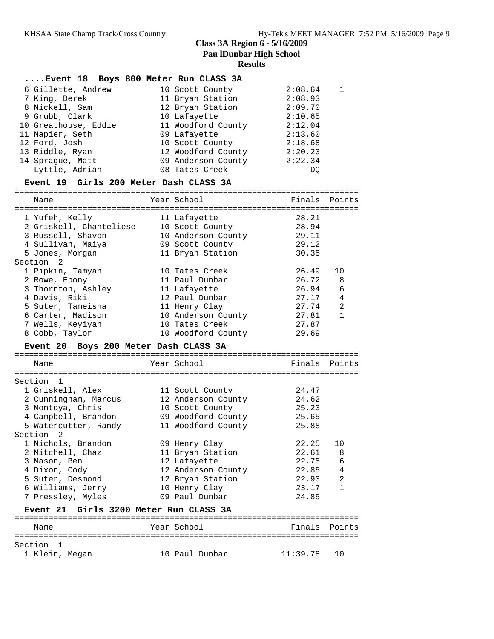### **....Event 18 Boys 800 Meter Run CLASS 3A**

|  | 6 Gillette, Andrew   | 10 Scott County    | 2:08.64 | $\mathbf{1}$ |
|--|----------------------|--------------------|---------|--------------|
|  | 7 King, Derek        | 11 Bryan Station   | 2:08.93 |              |
|  | 8 Nickell, Sam       | 12 Bryan Station   | 2:09.70 |              |
|  | 9 Grubb, Clark       | 10 Lafayette       | 2:10.65 |              |
|  | 10 Greathouse, Eddie | 11 Woodford County | 2:12.04 |              |
|  | 11 Napier, Seth      | 09 Lafayette       | 2:13.60 |              |
|  | 12 Ford, Josh        | 10 Scott County    | 2:18.68 |              |
|  | 13 Riddle, Ryan      | 12 Woodford County | 2:20.23 |              |
|  | 14 Spraque, Matt     | 09 Anderson County | 2:22.34 |              |
|  | -- Lyttle, Adrian    | 08 Tates Creek     | DO      |              |
|  |                      |                    |         |              |

# **Event 19 Girls 200 Meter Dash CLASS 3A**

| Name                                  | Year School        | Finals Points |                |
|---------------------------------------|--------------------|---------------|----------------|
|                                       |                    |               | $=$ $=$        |
| 1 Yufeh, Kelly                        | 11 Lafayette       | 28.21         |                |
| 2 Griskell, Chanteliese               | 10 Scott County    | 28.94         |                |
| 3 Russell, Shavon                     | 10 Anderson County | 29.11         |                |
| 4 Sullivan, Maiya                     | 09 Scott County    | 29.12         |                |
| 5 Jones, Morgan                       | 11 Bryan Station   | 30.35         |                |
| Section <sub>2</sub>                  |                    |               |                |
| 1 Pipkin, Tamyah                      | 10 Tates Creek     | 26.49         | 10             |
| 2 Rowe, Ebony                         | 11 Paul Dunbar     | 26.72         | 8              |
| 3 Thornton, Ashley                    | 11 Lafayette       | 26.94         | 6              |
| 4 Davis, Riki                         | 12 Paul Dunbar     | 27.17         | 4              |
| 5 Suter, Tameisha                     | 11 Henry Clay      | 27.74         | $\overline{2}$ |
| 6 Carter, Madison                     | 10 Anderson County | 27.81         | $\mathbf{1}$   |
| 7 Wells, Keyiyah                      | 10 Tates Creek     | 27.87         |                |
| 8 Cobb, Taylor                        | 10 Woodford County | 29.69         |                |
| Event 20 Boys 200 Meter Dash CLASS 3A |                    |               |                |
|                                       |                    |               |                |
|                                       |                    |               |                |
| Name                                  | Year School        | Finals        | Points         |
|                                       |                    |               |                |
| Section 1                             |                    |               |                |
| 1 Griskell, Alex                      | 11 Scott County    | 24.47         |                |
| 2 Cunningham, Marcus                  | 12 Anderson County | 24.62         |                |
| 3 Montoya, Chris                      | 10 Scott County    | 25.23         |                |
| 4 Campbell, Brandon                   | 09 Woodford County | 25.65         |                |
| 5 Watercutter, Randy                  | 11 Woodford County | 25.88         |                |
| Section <sub>2</sub>                  |                    |               |                |
| 1 Nichols, Brandon                    | 09 Henry Clay      | 22.25         | 10             |
| 2 Mitchell, Chaz                      | 11 Bryan Station   | 22.61         | 8              |
| 3 Mason, Ben                          | 12 Lafayette       | 22.75         | 6              |
| 4 Dixon, Cody                         | 12 Anderson County | 22.85         | 4              |
| 5 Suter, Desmond                      | 12 Bryan Station   | 22.93         | 2              |
| 6 Williams, Jerry                     | 10 Henry Clay      | 23.17         | $\mathbf{1}$   |
| 7 Pressley, Myles                     | 09 Paul Dunbar     | 24.85         |                |

#### ======================================================================= Name Year School ======================================================================= Section 1<br>1 Klein, Megan 10 Paul Dunbar 11:39.78 10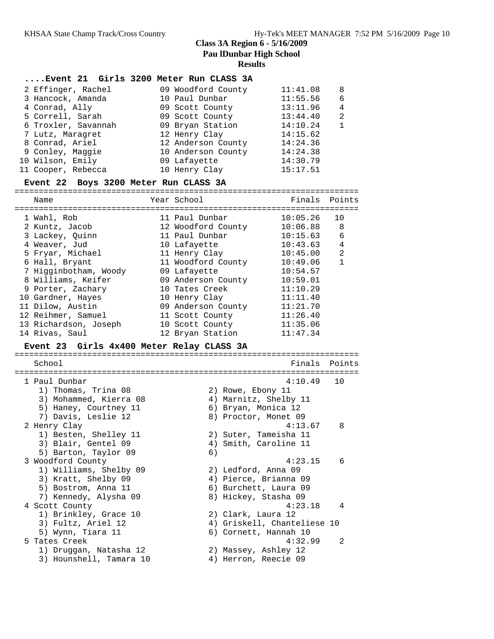#### **....Event 21 Girls 3200 Meter Run CLASS 3A**

| 2 Effinger, Rachel  | 09 Woodford County | 11:41.08 | 8 |
|---------------------|--------------------|----------|---|
| 3 Hancock, Amanda   | 10 Paul Dunbar     | 11:55.56 | 6 |
| 4 Conrad, Ally      | 09 Scott County    | 13:11.96 | 4 |
| 5 Correll, Sarah    | 09 Scott County    | 13:44.40 | 2 |
| 6 Troxler, Savannah | 09 Bryan Station   | 14:10.24 | 1 |
| 7 Lutz, Maragret    | 12 Henry Clay      | 14:15.62 |   |
| 8 Conrad, Ariel     | 12 Anderson County | 14:24.36 |   |
| 9 Conley, Maggie    | 10 Anderson County | 14:24.38 |   |
| 10 Wilson, Emily    | 09 Lafayette       | 14:30.79 |   |
| 11 Cooper, Rebecca  | 10 Henry Clay      | 15:17.51 |   |

#### **Event 22 Boys 3200 Meter Run CLASS 3A**

=======================================================================

| Name                  | Year School        | Finals     | Points |
|-----------------------|--------------------|------------|--------|
| 1 Wahl, Rob           | 11 Paul Dunbar     | 10:05.26   | 10     |
| 2 Kuntz, Jacob        | 12 Woodford County | 10:06.88 8 |        |
| 3 Lackey, Ouinn       | 11 Paul Dunbar     | 10:15.63   | 6      |
| 4 Weaver, Jud         | 10 Lafayette       | 10:43.63   | 4      |
| 5 Fryar, Michael      | 11 Henry Clay      | 10:45.00   | 2      |
| 6 Hall, Bryant        | 11 Woodford County | 10:49.06   | 1      |
| 7 Higginbotham, Woody | 09 Lafayette       | 10:54.57   |        |
| 8 Williams, Keifer    | 09 Anderson County | 10:59.01   |        |
| 9 Porter, Zachary     | 10 Tates Creek     | 11:10.29   |        |
| 10 Gardner, Hayes     | 10 Henry Clay      | 11:11.40   |        |
| 11 Dilow, Austin      | 09 Anderson County | 11:21.70   |        |
| 12 Reihmer, Samuel    | 11 Scott County    | 11:26.40   |        |
| 13 Richardson, Joseph | 10 Scott County    | 11:35.06   |        |
| 14 Rivas, Saul        | 12 Bryan Station   | 11:47.34   |        |

# **Event 23 Girls 4x400 Meter Relay CLASS 3A**

======================================================================= School **Finals** Points ======================================================================= 1 Paul Dunbar 4:10.49 10 1) Thomas, Trina 08 2) Rowe, Ebony 11 3) Mohammed, Kierra 08 4) Marnitz, Shelby 11 5) Haney, Courtney 11 (6) Bryan, Monica 12 7) Davis, Leslie 12 (8) Proctor, Monet 09 2 Henry Clay 4:13.67 8 1) Besten, Shelley 11 2) Suter, Tameisha 11 3) Blair, Gentel 09 30 4) Smith, Caroline 11 5) Barton, Taylor 09 6) 3 Woodford County 4:23.15 6 1) Williams, Shelby 09 2) Ledford, Anna 09 3) Kratt, Shelby 09 4) Pierce, Brianna 09 5) Bostrom, Anna 11 6) Burchett, Laura 09 7) Kennedy, Alysha 09 8) Hickey, Stasha 09 4 Scott County **4:23.18** 4 1) Brinkley, Grace 10 2) Clark, Laura 12 3) Fultz, Ariel 12 4) Griskell, Chanteliese 10 5) Wynn, Tiara 11 6) Cornett, Hannah 10 5 Tates Creek 4:32.99 2 1) Druggan, Natasha 12 2) Massey, Ashley 12

3) Hounshell, Tamara 10  $\hskip1cm \hskip1cm 4$ ) Herron, Reecie 09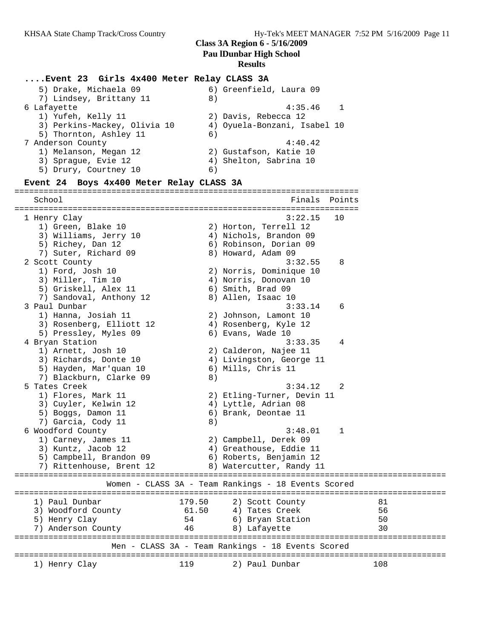#### **....Event 23 Girls 4x400 Meter Relay CLASS 3A**

| 5) Drake, Michaela 09        | 6) Greenfield, Laura 09      |
|------------------------------|------------------------------|
| 7) Lindsey, Brittany 11      | 8)                           |
| 6 Lafayette                  | 4:35.46                      |
| 1) Yufeh, Kelly 11           | 2) Davis, Rebecca 12         |
| 3) Perkins-Mackey, Olivia 10 | 4) Oyuela-Bonzani, Isabel 10 |
| 5) Thornton, Ashley 11       | 6)                           |
| 7 Anderson County            | 4:40.42                      |
| 1) Melanson, Megan 12        | 2) Gustafson, Katie 10       |
| 3) Sprague, Evie 12          | 4) Shelton, Sabrina 10       |
| 5) Drury, Courtney 10        | 6)                           |
|                              |                              |

#### **Event 24 Boys 4x400 Meter Relay CLASS 3A**

======================================================================= School **Finals** Points **Points** ======================================================================= 1 Henry Clay 3:22.15 10 1) Green, Blake 10 2) Horton, Terrell 12 3) Williams, Jerry 10 4) Nichols, Brandon 09 5) Richey, Dan 12 6) Robinson, Dorian 09 7) Suter, Richard 09 8) Howard, Adam 09 2 Scott County 3:32.55 8 1) Ford, Josh 10 2) Norris, Dominique 10 3) Miller, Tim 10 4) Norris, Donovan 10 5) Griskell, Alex 11 6) Smith, Brad 09 7) Sandoval, Anthony 12 8) Allen, Isaac 10 3 Paul Dunbar 3:33.14 6 1) Hanna, Josiah 11 2) Johnson, Lamont 10 3) Rosenberg, Elliott 12 4) Rosenberg, Kyle 12 5) Pressley, Myles 09 6) Evans, Wade 10 4 Bryan Station 3:33.35 4 1) Arnett, Josh 10 2) Calderon, Najee 11 3) Richards, Donte 10 4) Livingston, George 11 5) Hayden, Mar'quan 10 6) Mills, Chris 11 7) Blackburn, Clarke 09 (8) 5 Tates Creek 3:34.12 2 1) Flores, Mark 11 2) Etling-Turner, Devin 11 3) Cuyler, Kelwin 12 (4) Lyttle, Adrian 08 5) Boggs, Damon 11 6) Brank, Deontae 11 7) Garcia, Cody 11 (8) 6 Woodford County 3:48.01 1 1) Carney, James 11 2) Campbell, Derek 09 3) Kuntz, Jacob 12 4) Greathouse, Eddie 11 5) Campbell, Brandon 09 6) Roberts, Benjamin 12 7) Rittenhouse, Brent 12 (8) Watercutter, Randy 11 ========================================================================================= Women - CLASS 3A - Team Rankings - 18 Events Scored ========================================================================================= 1) Paul Dunbar 179.50 2) Scott County 81 3) Woodford County 61.50 4) Tates Creek 56 5) Henry Clay 54 6) Bryan Station 50 7) Anderson County 46 8) Lafayette 30 ========================================================================================= Men - CLASS 3A - Team Rankings - 18 Events Scored ========================================================================================= 1) Henry Clay 119 2) Paul Dunbar 108